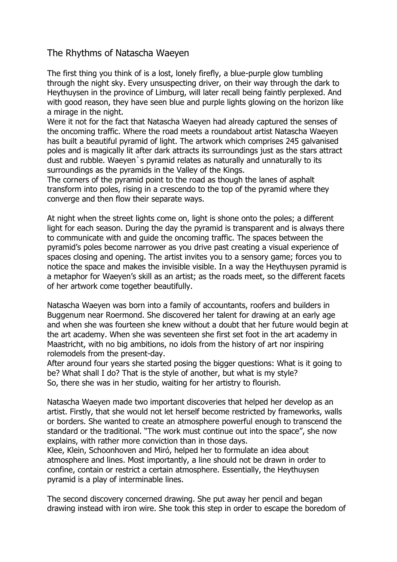## The Rhythms of Natascha Waeyen

The first thing you think of is a lost, lonely firefly, a blue-purple glow tumbling through the night sky. Every unsuspecting driver, on their way through the dark to Heythuysen in the province of Limburg, will later recall being faintly perplexed. And with good reason, they have seen blue and purple lights glowing on the horizon like a mirage in the night.

Were it not for the fact that Natascha Waeyen had already captured the senses of the oncoming traffic. Where the road meets a roundabout artist Natascha Waeyen has built a beautiful pyramid of light. The artwork which comprises 245 galvanised poles and is magically lit after dark attracts its surroundings just as the stars attract dust and rubble. Waeyen`s pyramid relates as naturally and unnaturally to its surroundings as the pyramids in the Valley of the Kings.

The corners of the pyramid point to the road as though the lanes of asphalt transform into poles, rising in a crescendo to the top of the pyramid where they converge and then flow their separate ways.

At night when the street lights come on, light is shone onto the poles; a different light for each season. During the day the pyramid is transparent and is always there to communicate with and guide the oncoming traffic. The spaces between the pyramid's poles become narrower as you drive past creating a visual experience of spaces closing and opening. The artist invites you to a sensory game; forces you to notice the space and makes the invisible visible. In a way the Heythuysen pyramid is a metaphor for Waeyen's skill as an artist; as the roads meet, so the different facets of her artwork come together beautifully.

Natascha Waeyen was born into a family of accountants, roofers and builders in Buggenum near Roermond. She discovered her talent for drawing at an early age and when she was fourteen she knew without a doubt that her future would begin at the art academy. When she was seventeen she first set foot in the art academy in Maastricht, with no big ambitions, no idols from the history of art nor inspiring rolemodels from the present-day.

After around four years she started posing the bigger questions: What is it going to be? What shall I do? That is the style of another, but what is my style? So, there she was in her studio, waiting for her artistry to flourish.

Natascha Waeyen made two important discoveries that helped her develop as an artist. Firstly, that she would not let herself become restricted by frameworks, walls or borders. She wanted to create an atmosphere powerful enough to transcend the standard or the traditional. "The work must continue out into the space", she now explains, with rather more conviction than in those days.

Klee, Klein, Schoonhoven and Miró, helped her to formulate an idea about atmosphere and lines. Most importantly, a line should not be drawn in order to confine, contain or restrict a certain atmosphere. Essentially, the Heythuysen pyramid is a play of interminable lines.

The second discovery concerned drawing. She put away her pencil and began drawing instead with iron wire. She took this step in order to escape the boredom of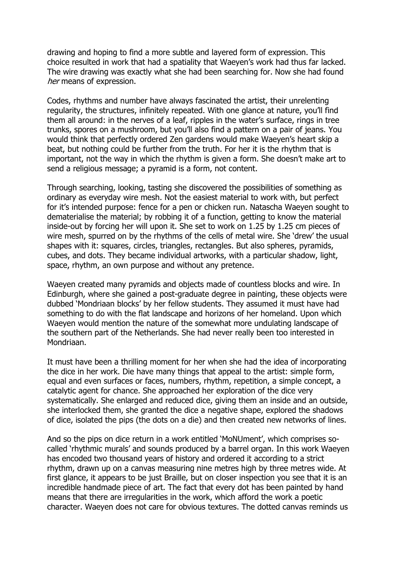drawing and hoping to find a more subtle and layered form of expression. This choice resulted in work that had a spatiality that Waeyen's work had thus far lacked. The wire drawing was exactly what she had been searching for. Now she had found her means of expression.

Codes, rhythms and number have always fascinated the artist, their unrelenting regularity, the structures, infinitely repeated. With one glance at nature, you'll find them all around: in the nerves of a leaf, ripples in the water's surface, rings in tree trunks, spores on a mushroom, but you'll also find a pattern on a pair of jeans. You would think that perfectly ordered Zen gardens would make Waeyen's heart skip a beat, but nothing could be further from the truth. For her it is the rhythm that is important, not the way in which the rhythm is given a form. She doesn't make art to send a religious message; a pyramid is a form, not content.

Through searching, looking, tasting she discovered the possibilities of something as ordinary as everyday wire mesh. Not the easiest material to work with, but perfect for it's intended purpose: fence for a pen or chicken run. Natascha Waeyen sought to dematerialise the material; by robbing it of a function, getting to know the material inside-out by forcing her will upon it. She set to work on 1.25 by 1.25 cm pieces of wire mesh, spurred on by the rhythms of the cells of metal wire. She 'drew' the usual shapes with it: squares, circles, triangles, rectangles. But also spheres, pyramids, cubes, and dots. They became individual artworks, with a particular shadow, light, space, rhythm, an own purpose and without any pretence.

Waeyen created many pyramids and objects made of countless blocks and wire. In Edinburgh, where she gained a post-graduate degree in painting, these objects were dubbed 'Mondriaan blocks' by her fellow students. They assumed it must have had something to do with the flat landscape and horizons of her homeland. Upon which Waeyen would mention the nature of the somewhat more undulating landscape of the southern part of the Netherlands. She had never really been too interested in Mondriaan.

It must have been a thrilling moment for her when she had the idea of incorporating the dice in her work. Die have many things that appeal to the artist: simple form, equal and even surfaces or faces, numbers, rhythm, repetition, a simple concept, a catalytic agent for chance. She approached her exploration of the dice very systematically. She enlarged and reduced dice, giving them an inside and an outside, she interlocked them, she granted the dice a negative shape, explored the shadows of dice, isolated the pips (the dots on a die) and then created new networks of lines.

And so the pips on dice return in a work entitled 'MoNUment', which comprises socalled 'rhythmic murals' and sounds produced by a barrel organ. In this work Waeyen has encoded two thousand years of history and ordered it according to a strict rhythm, drawn up on a canvas measuring nine metres high by three metres wide. At first glance, it appears to be just Braille, but on closer inspection you see that it is an incredible handmade piece of art. The fact that every dot has been painted by hand means that there are irregularities in the work, which afford the work a poetic character. Waeyen does not care for obvious textures. The dotted canvas reminds us